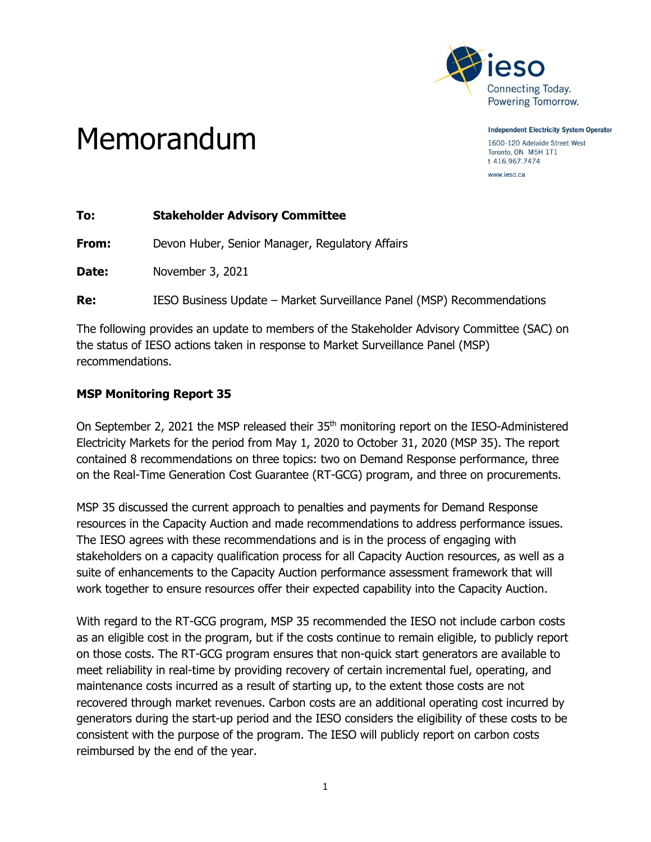

**Independent Electricity System Operator** 1600-120 Adelaide Street West Toronto, ON M5H 1T1 t 416.967.7474

www.ieso.ca

## Memorandum

| To:   | <b>Stakeholder Advisory Committee</b>                                  |
|-------|------------------------------------------------------------------------|
| From: | Devon Huber, Senior Manager, Regulatory Affairs                        |
| Date: | November 3, 2021                                                       |
| Re:   | IESO Business Update – Market Surveillance Panel (MSP) Recommendations |
|       |                                                                        |

The following provides an update to members of the Stakeholder Advisory Committee (SAC) on the status of IESO actions taken in response to Market Surveillance Panel (MSP) recommendations.

## **MSP Monitoring Report 35**

On September 2, 2021 the MSP released their 35<sup>th</sup> monitoring report on the IESO-Administered Electricity Markets for the period from May 1, 2020 to October 31, 2020 (MSP 35). The report contained 8 recommendations on three topics: two on Demand Response performance, three on the Real-Time Generation Cost Guarantee (RT-GCG) program, and three on procurements.

MSP 35 discussed the current approach to penalties and payments for Demand Response resources in the Capacity Auction and made recommendations to address performance issues. The IESO agrees with these recommendations and is in the process of engaging with stakeholders on a capacity qualification process for all Capacity Auction resources, as well as a suite of enhancements to the Capacity Auction performance assessment framework that will work together to ensure resources offer their expected capability into the Capacity Auction.

With regard to the RT-GCG program, MSP 35 recommended the IESO not include carbon costs as an eligible cost in the program, but if the costs continue to remain eligible, to publicly report on those costs. The RT-GCG program ensures that non-quick start generators are available to meet reliability in real-time by providing recovery of certain incremental fuel, operating, and maintenance costs incurred as a result of starting up, to the extent those costs are not recovered through market revenues. Carbon costs are an additional operating cost incurred by generators during the start-up period and the IESO considers the eligibility of these costs to be consistent with the purpose of the program. The IESO will publicly report on carbon costs reimbursed by the end of the year.